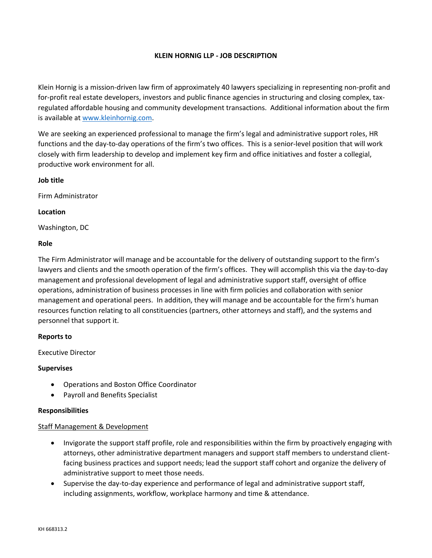## **KLEIN HORNIG LLP - JOB DESCRIPTION**

Klein Hornig is a mission-driven law firm of approximately 40 lawyers specializing in representing non-profit and for-profit real estate developers, investors and public finance agencies in structuring and closing complex, taxregulated affordable housing and community development transactions. Additional information about the firm is available at [www.kleinhornig.com.](http://www.kleinhornig.com/)

We are seeking an experienced professional to manage the firm's legal and administrative support roles, HR functions and the day-to-day operations of the firm's two offices. This is a senior-level position that will work closely with firm leadership to develop and implement key firm and office initiatives and foster a collegial, productive work environment for all.

## **Job title**

Firm Administrator

#### **Location**

Washington, DC

#### **Role**

The Firm Administrator will manage and be accountable for the delivery of outstanding support to the firm's lawyers and clients and the smooth operation of the firm's offices. They will accomplish this via the day-to-day management and professional development of legal and administrative support staff, oversight of office operations, administration of business processes in line with firm policies and collaboration with senior management and operational peers. In addition, they will manage and be accountable for the firm's human resources function relating to all constituencies (partners, other attorneys and staff), and the systems and personnel that support it.

## **Reports to**

Executive Director

## **Supervises**

- Operations and Boston Office Coordinator
- Payroll and Benefits Specialist

## **Responsibilities**

## Staff Management & Development

- Invigorate the support staff profile, role and responsibilities within the firm by proactively engaging with attorneys, other administrative department managers and support staff members to understand clientfacing business practices and support needs; lead the support staff cohort and organize the delivery of administrative support to meet those needs.
- Supervise the day-to-day experience and performance of legal and administrative support staff, including assignments, workflow, workplace harmony and time & attendance.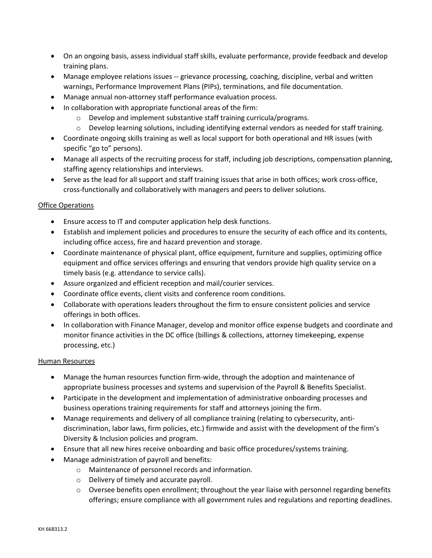- On an ongoing basis, assess individual staff skills, evaluate performance, provide feedback and develop training plans.
- Manage employee relations issues -- grievance processing, coaching, discipline, verbal and written warnings, Performance Improvement Plans (PIPs), terminations, and file documentation.
- Manage annual non-attorney staff performance evaluation process.
- In collaboration with appropriate functional areas of the firm:
	- o Develop and implement substantive staff training curricula/programs.
	- $\circ$  Develop learning solutions, including identifying external vendors as needed for staff training.
- Coordinate ongoing skills training as well as local support for both operational and HR issues (with specific "go to" persons).
- Manage all aspects of the recruiting process for staff, including job descriptions, compensation planning, staffing agency relationships and interviews.
- Serve as the lead for all support and staff training issues that arise in both offices; work cross-office, cross-functionally and collaboratively with managers and peers to deliver solutions.

# Office Operations

- Ensure access to IT and computer application help desk functions.
- Establish and implement policies and procedures to ensure the security of each office and its contents, including office access, fire and hazard prevention and storage.
- Coordinate maintenance of physical plant, office equipment, furniture and supplies, optimizing office equipment and office services offerings and ensuring that vendors provide high quality service on a timely basis (e.g. attendance to service calls).
- Assure organized and efficient reception and mail/courier services.
- Coordinate office events, client visits and conference room conditions.
- Collaborate with operations leaders throughout the firm to ensure consistent policies and service offerings in both offices.
- In collaboration with Finance Manager, develop and monitor office expense budgets and coordinate and monitor finance activities in the DC office (billings & collections, attorney timekeeping, expense processing, etc.)

## Human Resources

- Manage the human resources function firm-wide, through the adoption and maintenance of appropriate business processes and systems and supervision of the Payroll & Benefits Specialist.
- Participate in the development and implementation of administrative onboarding processes and business operations training requirements for staff and attorneys joining the firm.
- Manage requirements and delivery of all compliance training (relating to cybersecurity, antidiscrimination, labor laws, firm policies, etc.) firmwide and assist with the development of the firm's Diversity & Inclusion policies and program.
- Ensure that all new hires receive onboarding and basic office procedures/systems training.
- Manage administration of payroll and benefits:
	- o Maintenance of personnel records and information.
	- o Delivery of timely and accurate payroll.
	- $\circ$  Oversee benefits open enrollment; throughout the year liaise with personnel regarding benefits offerings; ensure compliance with all government rules and regulations and reporting deadlines.